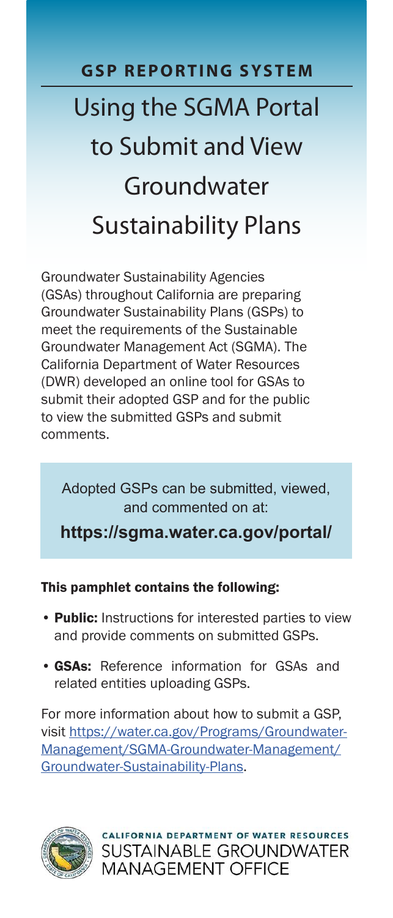# **GSP REPORTING SYSTEM** Using the SGMA Portal to Submit and View Groundwater Sustainability Plans

Groundwater Sustainability Agencies (GSAs) throughout California are preparing Groundwater Sustainability Plans (GSPs) to meet the requirements of the Sustainable Groundwater Management Act (SGMA). The California Department of Water Resources (DWR) developed an online tool for GSAs to submit their adopted GSP and for the public to view the submitted GSPs and submit comments.

Adopted GSPs can be submitted, viewed, and commented on at:

**<https://sgma.water.ca.gov/portal/>**

## This pamphlet contains the following:

- Public: Instructions for interested parties to view and provide comments on submitted GSPs.
- GSAs: Reference information for GSAs and related entities uploading GSPs.

For more information about how to submit a GSP, visit [https://water.ca.gov/Programs/Groundwater-](https://water.ca.gov/Programs/Groundwater-Management/SGMA-Groundwater-Management/Groundwater-Sustainability-Plans)[Management/SGMA-Groundwater-Management/](https://water.ca.gov/Programs/Groundwater-Management/SGMA-Groundwater-Management/Groundwater-Sustainability-Plans) [Groundwater-Sustainability-Plans](https://water.ca.gov/Programs/Groundwater-Management/SGMA-Groundwater-Management/Groundwater-Sustainability-Plans).



LIFORNIA DEPARTMENT OF WATER RESOURCES **SUSTAINABLE GROUNDWATER MANAGEMENT OFFICE**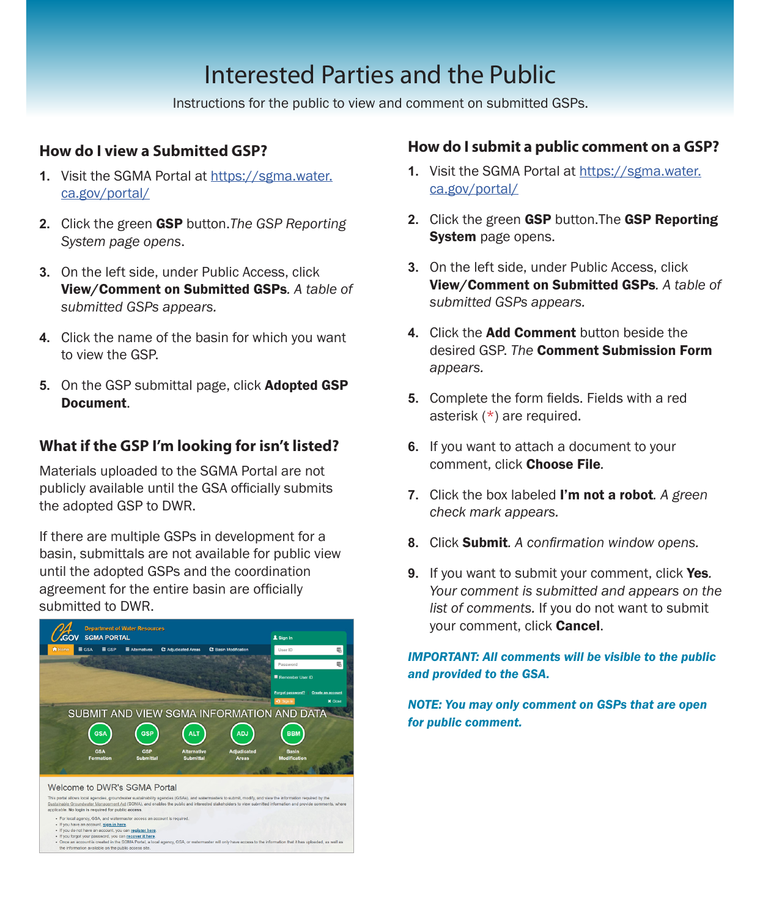# Interested Parties and the Public

Instructions for the public to view and comment on submitted GSPs.

# **How do I view a Submitted GSP?**

- **1.** Visit the SGMA Portal at [https://sgma.water.](https://sgma.water.ca.gov/portal) [ca.gov/portal](https://sgma.water.ca.gov/portal)/
- **2.** Click the green GSP button.*The GSP Reporting System page opens*.
- **3.** On the left side, under Public Access, click View/Comment on Submitted GSPs*. A table of submitted GSPs appears.*
- **4.** Click the name of the basin for which you want to view the GSP.
- **5.** On the GSP submittal page, click Adopted GSP Document.

# **What if the GSP I'm looking for isn't listed?**

Materials uploaded to the SGMA Portal are not publicly available until the GSA officially submits the adopted GSP to DWR.

If there are multiple GSPs in development for a basin, submittals are not available for public view until the adopted GSPs and the coordination agreement for the entire basin are officially submitted to DWR.



### **How do I submit a public comment on a GSP?**

- **1.** Visit the SGMA Portal at [https://sgma.water.](https://sgma.water.ca.gov/portal) [ca.gov/portal](https://sgma.water.ca.gov/portal)/
- **2.** Click the green GSP button.The GSP Reporting System page opens.
- **3.** On the left side, under Public Access, click View/Comment on Submitted GSPs*. A table of submitted GSPs appears.*
- **4.** Click the Add Comment button beside the desired GSP. *The* Comment Submission Form *appears.*
- **5.** Complete the form fields. Fields with a red asterisk (\*) are required.
- **6.** If you want to attach a document to your comment, click Choose File*.*
- **7.** Click the box labeled I'm not a robot*. A green check mark appears.*
- **8.** Click Submit*. A confirmation window opens.*
- **9.** If you want to submit your comment, click Yes*. Your comment is submitted and appears on the list of comments.* If you do not want to submit your comment, click Cancel.

*IMPORTANT: All comments will be visible to the public and provided to the GSA.* 

*NOTE: You may only comment on GSPs that are open for public comment.*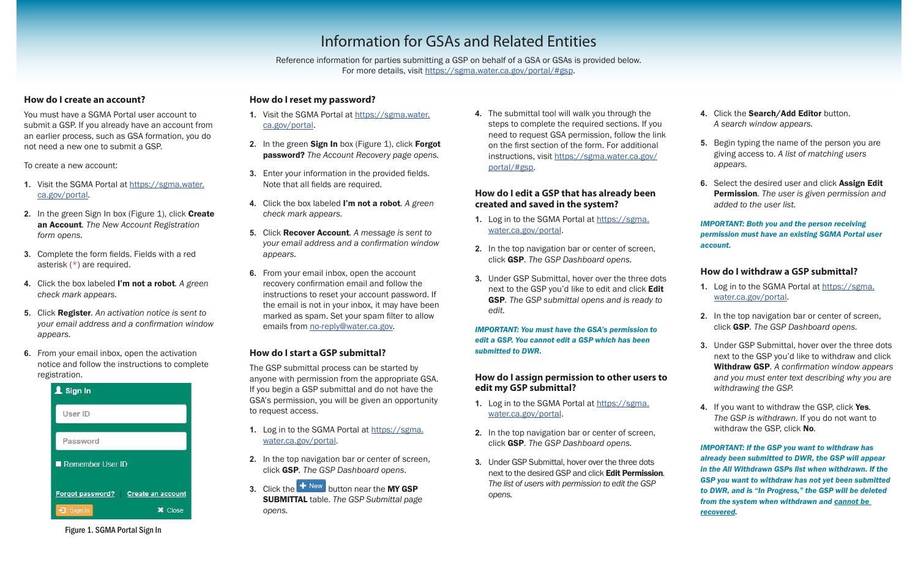# Information for GSAs and Related Entities

Reference information for parties submitting a GSP on behalf of a GSA or GSAs is provided below. For more details, visit<https://sgma.water.ca.gov/portal/#gsp>.

# **How do I create an account?**

You must have a SGMA Portal user account to submit a GSP. If you already have an account from an earlier process, such as GSA formation, you do not need a new one to submit a GSP.

To create a new account:

- **1.** Visit the SGMA Portal at [https://sgma.water.](https://sgma.water.ca.gov/portal) [ca.gov/portal](https://sgma.water.ca.gov/portal).
- **2.** In the green Sign In box (Figure 1), click **Create** an Account*. The New Account Registration form opens.*
- **3.** Complete the form fields. Fields with a red asterisk (\*) are required.
- **4.** Click the box labeled I'm not a robot*. A green check mark appears.*
- **5.** Click Register*. An activation notice is sent to your email address and a confirmation window appears.*
- **6.** From your email inbox, open the activation notice and follow the instructions to complete registration.



# **How do I reset my password?**

- **1.** Visit the SGMA Portal at [https://sgma.water.](https://sgma.water.ca.gov/portal) [ca.gov/portal](https://sgma.water.ca.gov/portal).
- **2.** In the green **Sign In** box (Figure 1), click **Forgot** password? *The Account Recovery page opens.*
- **3.** Enter your information in the provided fields. Note that all fields are required.
- **4.** Click the box labeled I'm not a robot*. A green check mark appears.*
- **5.** Click Recover Account*. A message is sent to your email address and a confirmation window appears.*
- **6.** From your email inbox, open the account recovery confirmation email and follow the instructions to reset your account password. If the email is not in your inbox, it may have been marked as spam. Set your spam filter to allow emails from [no-reply@water.ca.gov.](mailto:no-reply%40water.ca.gov?subject=)

## **How do I start a GSP submittal?**

The GSP submittal process can be started by anyone with permission from the appropriate GSA. If you begin a GSP submittal and do not have the GSA's permission, you will be given an opportunity to request access.

- **1.** Log in to the SGMA Portal at [https://sgma.](https://sgma.water.ca.gov/portal) [water.ca.gov/portal](https://sgma.water.ca.gov/portal).
- **2.** In the top navigation bar or center of screen, click GSP*. The GSP Dashboard opens*.
- **3.** Click the **<sup>+</sup>** New **button near the MY GSP** SUBMITTAL table. *The GSP Submittal page opens.*

**4.** The submittal tool will walk you through the steps to complete the required sections. If you need to request GSA permission, follow the link on the first section of the form. For additional instructions, visit [https://sgma.water.ca.gov/](https://sgma.water.ca.gov/portal/#gsp) [portal/#gsp](https://sgma.water.ca.gov/portal/#gsp).

#### **How do I edit a GSP that has already been created and saved in the system?**

- **1.** Log in to the SGMA Portal at [https://sgma.](https://sgma.water.ca.gov/portal) [water.ca.gov/portal](https://sgma.water.ca.gov/portal).
- **2.** In the top navigation bar or center of screen, click GSP*. The GSP Dashboard opens.*
- **3.** Under GSP Submittal, hover over the three dots next to the GSP you'd like to edit and click Edit GSP*. The GSP submittal opens and is ready to edit.*

*IMPORTANT: You must have the GSA's permission to edit a GSP. You cannot edit a GSP which has been submitted to DWR.*

#### **How do I assign permission to other users to edit my GSP submittal?**

- **1.** Log in to the SGMA Portal at [https://sgma.](https://sgma.water.ca.gov/portal) [water.ca.gov/portal](https://sgma.water.ca.gov/portal).
- **2.** In the top navigation bar or center of screen, click GSP*. The GSP Dashboard opens.*
- **3.** Under GSP Submittal, hover over the three dots next to the desired GSP and click Edit Permission*. The list of users with permission to edit the GSP opens.*
- **4.** Click the Search/Add Editor button. *A search window appears.*
- **5.** Begin typing the name of the person you are giving access to. *A list of matching users appears.*
- **6.** Select the desired user and click Assign Edit Permission*. The user is given permission and added to the user list.*

*IMPORTANT: Both you and the person receiving permission must have an existing SGMA Portal user account.*

#### **How do I withdraw a GSP submittal?**

- **1.** Log in to the SGMA Portal at [https://sgma.](https://sgma.water.ca.gov/portal) [water.ca.gov/portal](https://sgma.water.ca.gov/portal).
- **2.** In the top navigation bar or center of screen, click GSP*. The GSP Dashboard opens.*
- **3.** Under GSP Submittal, hover over the three dots next to the GSP you'd like to withdraw and click Withdraw GSP*. A confirmation window appears and you must enter text describing why you are withdrawing the GSP.*
- **4.** If you want to withdraw the GSP, click Yes*. The GSP is withdrawn.* If you do not want to withdraw the GSP, click No*.*

*IMPORTANT: If the GSP you want to withdraw has already been submitted to DWR, the GSP will appear in the All Withdrawn GSPs list when withdrawn. If the GSP you want to withdraw has not yet been submitted to DWR, and is "In Progress," the GSP will be deleted from the system when withdrawn and cannot be recovered.*

Figure 1. SGMA Portal Sign In